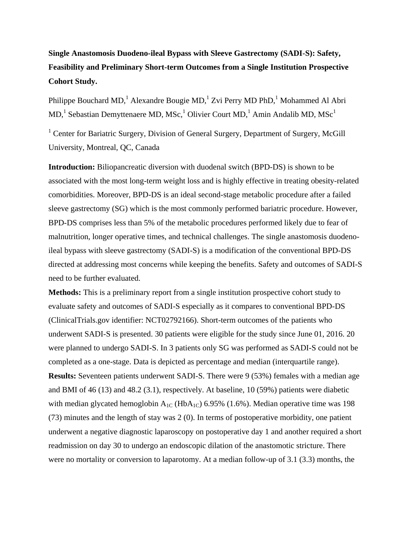## **Single Anastomosis Duodeno-ileal Bypass with Sleeve Gastrectomy (SADI-S): Safety, Feasibility and Preliminary Short-term Outcomes from a Single Institution Prospective Cohort Study.**

Philippe Bouchard MD,<sup>1</sup> Alexandre Bougie MD,<sup>1</sup> Zvi Perry MD PhD,<sup>1</sup> Mohammed Al Abri  $MD, 1$  Sebastian Demyttenaere MD, MSc,  $1$  Olivier Court MD,  $1$  Amin Andalib MD, MSc<sup>1</sup>

<sup>1</sup> Center for Bariatric Surgery, Division of General Surgery, Department of Surgery, McGill University, Montreal, QC, Canada

**Introduction:** Biliopancreatic diversion with duodenal switch (BPD-DS) is shown to be associated with the most long-term weight loss and is highly effective in treating obesity-related comorbidities. Moreover, BPD-DS is an ideal second-stage metabolic procedure after a failed sleeve gastrectomy (SG) which is the most commonly performed bariatric procedure. However, BPD-DS comprises less than 5% of the metabolic procedures performed likely due to fear of malnutrition, longer operative times, and technical challenges. The single anastomosis duodenoileal bypass with sleeve gastrectomy (SADI-S) is a modification of the conventional BPD-DS directed at addressing most concerns while keeping the benefits. Safety and outcomes of SADI-S need to be further evaluated.

**Methods:** This is a preliminary report from a single institution prospective cohort study to evaluate safety and outcomes of SADI-S especially as it compares to conventional BPD-DS (ClinicalTrials.gov identifier: NCT02792166). Short-term outcomes of the patients who underwent SADI-S is presented. 30 patients were eligible for the study since June 01, 2016. 20 were planned to undergo SADI-S. In 3 patients only SG was performed as SADI-S could not be completed as a one-stage. Data is depicted as percentage and median (interquartile range). **Results:** Seventeen patients underwent SADI-S. There were 9 (53%) females with a median age and BMI of 46 (13) and 48.2 (3.1), respectively. At baseline, 10 (59%) patients were diabetic with median glycated hemoglobin  $A_{1C}$  (Hb $A_{1C}$ ) 6.95% (1.6%). Median operative time was 198 (73) minutes and the length of stay was 2 (0). In terms of postoperative morbidity, one patient underwent a negative diagnostic laparoscopy on postoperative day 1 and another required a short readmission on day 30 to undergo an endoscopic dilation of the anastomotic stricture. There were no mortality or conversion to laparotomy. At a median follow-up of 3.1 (3.3) months, the